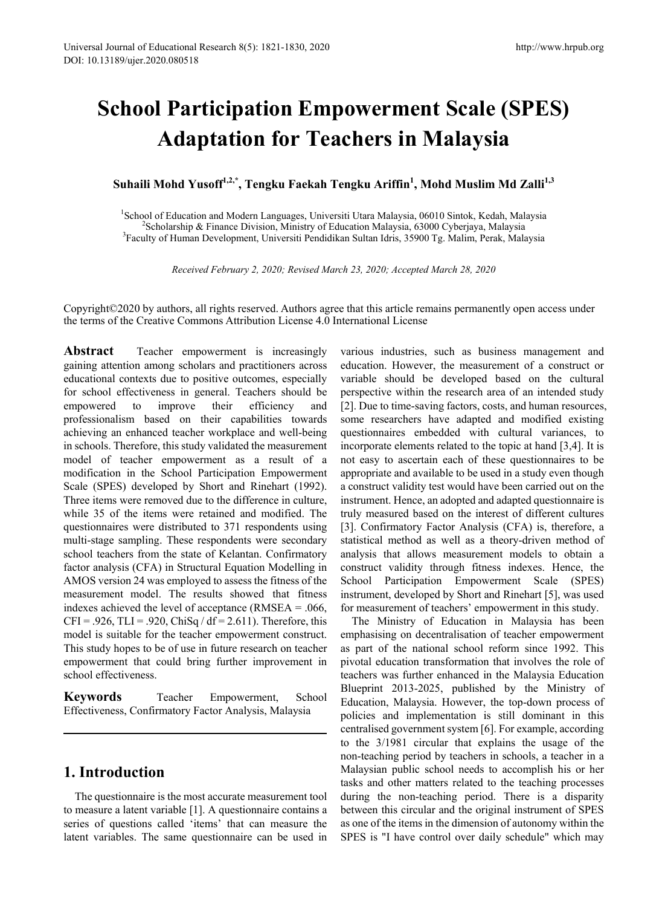# **School Participation Empowerment Scale (SPES) Adaptation for Teachers in Malaysia**

**Suhaili Mohd Yusoff1,2,\*, Tengku Faekah Tengku Ariffin1 , Mohd Muslim Md Zalli1,3**

<sup>1</sup>School of Education and Modern Languages, Universiti Utara Malaysia, 06010 Sintok, Kedah, Malaysia<sup>2</sup>Scholarshin & Finance Division, Ministry of Education Malaysia 63000 Cyberiaya, Malaysia Scholarship & Finance Division, Ministry of Education Malaysia, 63000 Cyberjaya, Malaysia <sup>3</sup> Faculty of Human Development, Universiti Pendidikan Sultan Idris, 35900 Tg. Malim, Perak, Malaysia

*Received February 2, 2020; Revised March 23, 2020; Accepted March 28, 2020*

Copyright©2020 by authors, all rights reserved. Authors agree that this article remains permanently open access under the terms of the Creative Commons Attribution License 4.0 International License

**Abstract** Teacher empowerment is increasingly gaining attention among scholars and practitioners across educational contexts due to positive outcomes, especially for school effectiveness in general. Teachers should be empowered to improve their efficiency and empowered to improve their efficiency and professionalism based on their capabilities towards achieving an enhanced teacher workplace and well-being in schools. Therefore, this study validated the measurement model of teacher empowerment as a result of a modification in the School Participation Empowerment Scale (SPES) developed by Short and Rinehart (1992). Three items were removed due to the difference in culture, while 35 of the items were retained and modified. The questionnaires were distributed to 371 respondents using multi-stage sampling. These respondents were secondary school teachers from the state of Kelantan. Confirmatory factor analysis (CFA) in Structural Equation Modelling in AMOS version 24 was employed to assess the fitness of the measurement model. The results showed that fitness indexes achieved the level of acceptance (RMSEA = .066,  $CFI = .926$ ,  $TLI = .920$ ,  $ChiSq / df = 2.611$ ). Therefore, this model is suitable for the teacher empowerment construct. This study hopes to be of use in future research on teacher empowerment that could bring further improvement in school effectiveness.

**Keywords** Teacher Empowerment, School Effectiveness, Confirmatory Factor Analysis, Malaysia

# **1. Introduction**

The questionnaire is the most accurate measurement tool to measure a latent variable [1]. A questionnaire contains a series of questions called 'items' that can measure the latent variables. The same questionnaire can be used in

various industries, such as business management and education. However, the measurement of a construct or variable should be developed based on the cultural perspective within the research area of an intended study [2]. Due to time-saving factors, costs, and human resources, some researchers have adapted and modified existing questionnaires embedded with cultural variances, to incorporate elements related to the topic at hand [3,4]. It is not easy to ascertain each of these questionnaires to be appropriate and available to be used in a study even though a construct validity test would have been carried out on the instrument. Hence, an adopted and adapted questionnaire is truly measured based on the interest of different cultures [3]. Confirmatory Factor Analysis (CFA) is, therefore, a statistical method as well as a theory-driven method of analysis that allows measurement models to obtain a construct validity through fitness indexes. Hence, the School Participation Empowerment Scale (SPES) instrument, developed by Short and Rinehart [5], was used for measurement of teachers' empowerment in this study.

The Ministry of Education in Malaysia has been emphasising on decentralisation of teacher empowerment as part of the national school reform since 1992. This pivotal education transformation that involves the role of teachers was further enhanced in the Malaysia Education Blueprint 2013-2025, published by the Ministry of Education, Malaysia. However, the top-down process of policies and implementation is still dominant in this centralised government system [6]. For example, according to the 3/1981 circular that explains the usage of the non-teaching period by teachers in schools, a teacher in a Malaysian public school needs to accomplish his or her tasks and other matters related to the teaching processes during the non-teaching period. There is a disparity between this circular and the original instrument of SPES as one of the items in the dimension of autonomy within the SPES is "I have control over daily schedule" which may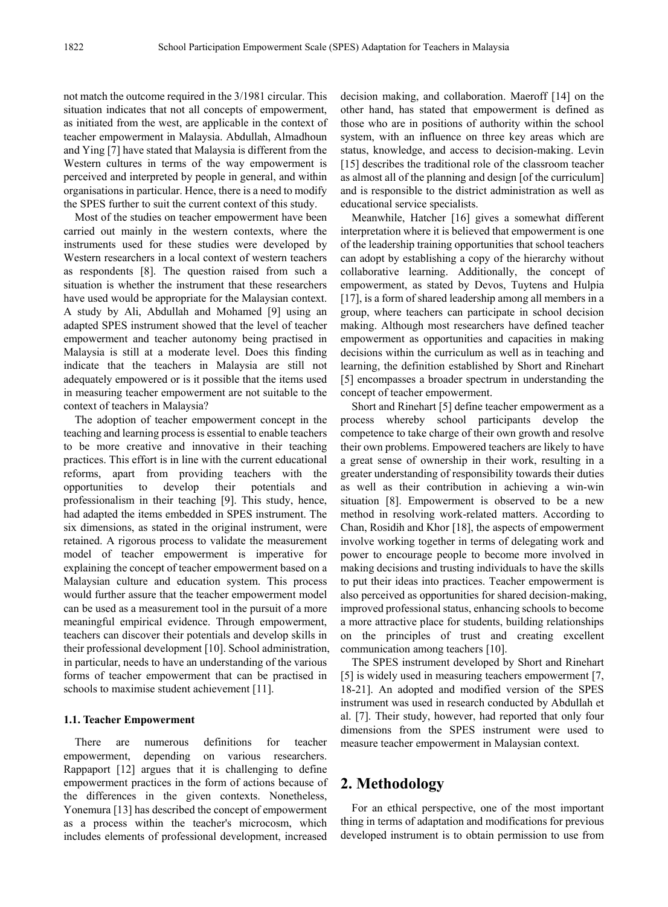not match the outcome required in the 3/1981 circular. This situation indicates that not all concepts of empowerment, as initiated from the west, are applicable in the context of teacher empowerment in Malaysia. Abdullah, Almadhoun and Ying [7] have stated that Malaysia is different from the Western cultures in terms of the way empowerment is perceived and interpreted by people in general, and within organisations in particular. Hence, there is a need to modify the SPES further to suit the current context of this study.

Most of the studies on teacher empowerment have been carried out mainly in the western contexts, where the instruments used for these studies were developed by Western researchers in a local context of western teachers as respondents [8]. The question raised from such a situation is whether the instrument that these researchers have used would be appropriate for the Malaysian context. A study by Ali, Abdullah and Mohamed [9] using an adapted SPES instrument showed that the level of teacher empowerment and teacher autonomy being practised in Malaysia is still at a moderate level. Does this finding indicate that the teachers in Malaysia are still not adequately empowered or is it possible that the items used in measuring teacher empowerment are not suitable to the context of teachers in Malaysia?

The adoption of teacher empowerment concept in the teaching and learning process is essential to enable teachers to be more creative and innovative in their teaching practices. This effort is in line with the current educational reforms, apart from providing teachers with the opportunities to develop their potentials and professionalism in their teaching [9]. This study, hence, had adapted the items embedded in SPES instrument. The six dimensions, as stated in the original instrument, were retained. A rigorous process to validate the measurement model of teacher empowerment is imperative for explaining the concept of teacher empowerment based on a Malaysian culture and education system. This process would further assure that the teacher empowerment model can be used as a measurement tool in the pursuit of a more meaningful empirical evidence. Through empowerment, teachers can discover their potentials and develop skills in their professional development [10]. School administration, in particular, needs to have an understanding of the various forms of teacher empowerment that can be practised in schools to maximise student achievement [11].

#### **1.1. Teacher Empowerment**

There are numerous definitions for teacher empowerment, depending on various researchers. Rappaport [12] argues that it is challenging to define empowerment practices in the form of actions because of the differences in the given contexts. Nonetheless, Yonemura [13] has described the concept of empowerment as a process within the teacher's microcosm, which includes elements of professional development, increased

decision making, and collaboration. Maeroff [14] on the other hand, has stated that empowerment is defined as those who are in positions of authority within the school system, with an influence on three key areas which are status, knowledge, and access to decision-making. Levin [15] describes the traditional role of the classroom teacher as almost all of the planning and design [of the curriculum] and is responsible to the district administration as well as educational service specialists.

Meanwhile, Hatcher [16] gives a somewhat different interpretation where it is believed that empowerment is one of the leadership training opportunities that school teachers can adopt by establishing a copy of the hierarchy without collaborative learning. Additionally, the concept of empowerment, as stated by Devos, Tuytens and Hulpia [17], is a form of shared leadership among all members in a group, where teachers can participate in school decision making. Although most researchers have defined teacher empowerment as opportunities and capacities in making decisions within the curriculum as well as in teaching and learning, the definition established by Short and Rinehart [5] encompasses a broader spectrum in understanding the concept of teacher empowerment.

Short and Rinehart [5] define teacher empowerment as a process whereby school participants develop the competence to take charge of their own growth and resolve their own problems. Empowered teachers are likely to have a great sense of ownership in their work, resulting in a greater understanding of responsibility towards their duties as well as their contribution in achieving a win-win situation [8]. Empowerment is observed to be a new method in resolving work-related matters. According to Chan, Rosidih and Khor [18], the aspects of empowerment involve working together in terms of delegating work and power to encourage people to become more involved in making decisions and trusting individuals to have the skills to put their ideas into practices. Teacher empowerment is also perceived as opportunities for shared decision-making, improved professional status, enhancing schools to become a more attractive place for students, building relationships on the principles of trust and creating excellent communication among teachers [10].

The SPES instrument developed by Short and Rinehart [5] is widely used in measuring teachers empowerment [7, 18-21]. An adopted and modified version of the SPES instrument was used in research conducted by Abdullah et al. [7]. Their study, however, had reported that only four dimensions from the SPES instrument were used to measure teacher empowerment in Malaysian context.

## **2. Methodology**

For an ethical perspective, one of the most important thing in terms of adaptation and modifications for previous developed instrument is to obtain permission to use from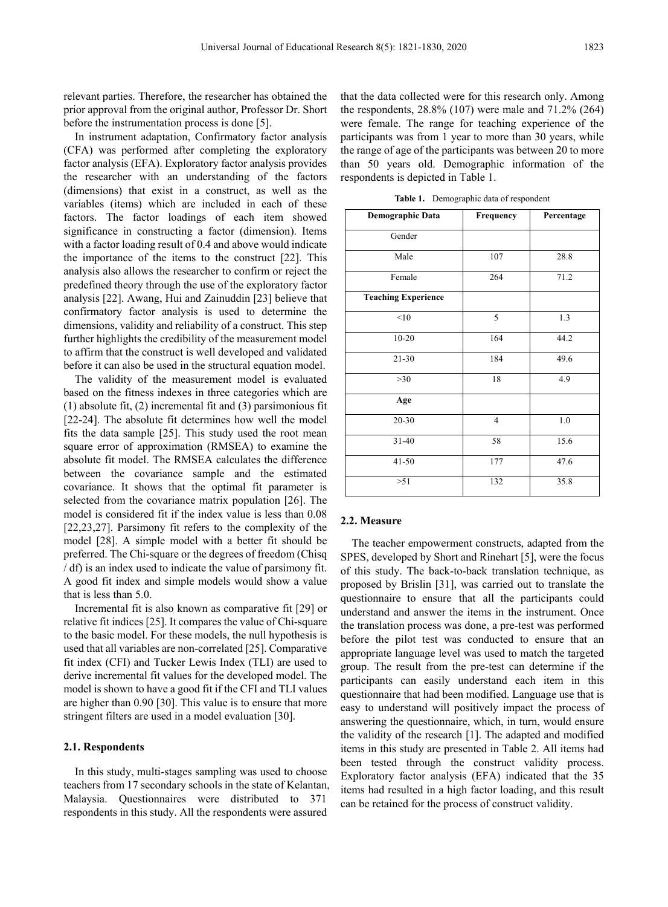In instrument adaptation, Confirmatory factor analysis (CFA) was performed after completing the exploratory factor analysis (EFA). Exploratory factor analysis provides the researcher with an understanding of the factors (dimensions) that exist in a construct, as well as the variables (items) which are included in each of these factors. The factor loadings of each item showed significance in constructing a factor (dimension). Items with a factor loading result of 0.4 and above would indicate the importance of the items to the construct [22]. This analysis also allows the researcher to confirm or reject the predefined theory through the use of the exploratory factor analysis [22]. Awang, Hui and Zainuddin [23] believe that confirmatory factor analysis is used to determine the dimensions, validity and reliability of a construct. This step further highlights the credibility of the measurement model to affirm that the construct is well developed and validated before it can also be used in the structural equation model.

The validity of the measurement model is evaluated based on the fitness indexes in three categories which are (1) absolute fit, (2) incremental fit and (3) parsimonious fit [22-24]. The absolute fit determines how well the model fits the data sample [25]. This study used the root mean square error of approximation (RMSEA) to examine the absolute fit model. The RMSEA calculates the difference between the covariance sample and the estimated covariance. It shows that the optimal fit parameter is selected from the covariance matrix population [26]. The model is considered fit if the index value is less than 0.08 [22,23,27]. Parsimony fit refers to the complexity of the model [28]. A simple model with a better fit should be preferred. The Chi-square or the degrees of freedom (Chisq / df) is an index used to indicate the value of parsimony fit. A good fit index and simple models would show a value that is less than 5.0.

Incremental fit is also known as comparative fit [29] or relative fit indices [25]. It compares the value of Chi-square to the basic model. For these models, the null hypothesis is used that all variables are non-correlated [25]. Comparative fit index (CFI) and Tucker Lewis Index (TLI) are used to derive incremental fit values for the developed model. The model is shown to have a good fit if the CFI and TLI values are higher than 0.90 [30]. This value is to ensure that more stringent filters are used in a model evaluation [30].

#### **2.1. Respondents**

In this study, multi-stages sampling was used to choose teachers from 17 secondary schools in the state of Kelantan, Malaysia. Questionnaires were distributed to 371 respondents in this study. All the respondents were assured

that the data collected were for this research only. Among the respondents, 28.8% (107) were male and 71.2% (264) were female. The range for teaching experience of the participants was from 1 year to more than 30 years, while the range of age of the participants was between 20 to more than 50 years old. Demographic information of the respondents is depicted in Table 1.

**Table 1.** Demographic data of respondent

| Demographic Data           | Frequency      | Percentage |
|----------------------------|----------------|------------|
| Gender                     |                |            |
| Male                       | 107            | 28.8       |
| Female                     | 264            | 71.2       |
| <b>Teaching Experience</b> |                |            |
| <10                        | 5              | 1.3        |
| $10 - 20$                  | 164            | 44.2       |
| $21 - 30$                  | 184            | 49.6       |
| >30                        | 18             | 4.9        |
| Age                        |                |            |
| 20-30                      | $\overline{4}$ | 1.0        |
| $31 - 40$                  | 58             | 15.6       |
| $41 - 50$                  | 177            | 47.6       |
| >51                        | 132            | 35.8       |

#### **2.2. Measure**

The teacher empowerment constructs, adapted from the SPES, developed by Short and Rinehart [5], were the focus of this study. The back-to-back translation technique, as proposed by Brislin [31], was carried out to translate the questionnaire to ensure that all the participants could understand and answer the items in the instrument. Once the translation process was done, a pre-test was performed before the pilot test was conducted to ensure that an appropriate language level was used to match the targeted group. The result from the pre-test can determine if the participants can easily understand each item in this questionnaire that had been modified. Language use that is easy to understand will positively impact the process of answering the questionnaire, which, in turn, would ensure the validity of the research [1]. The adapted and modified items in this study are presented in Table 2. All items had been tested through the construct validity process. Exploratory factor analysis (EFA) indicated that the 35 items had resulted in a high factor loading, and this result can be retained for the process of construct validity.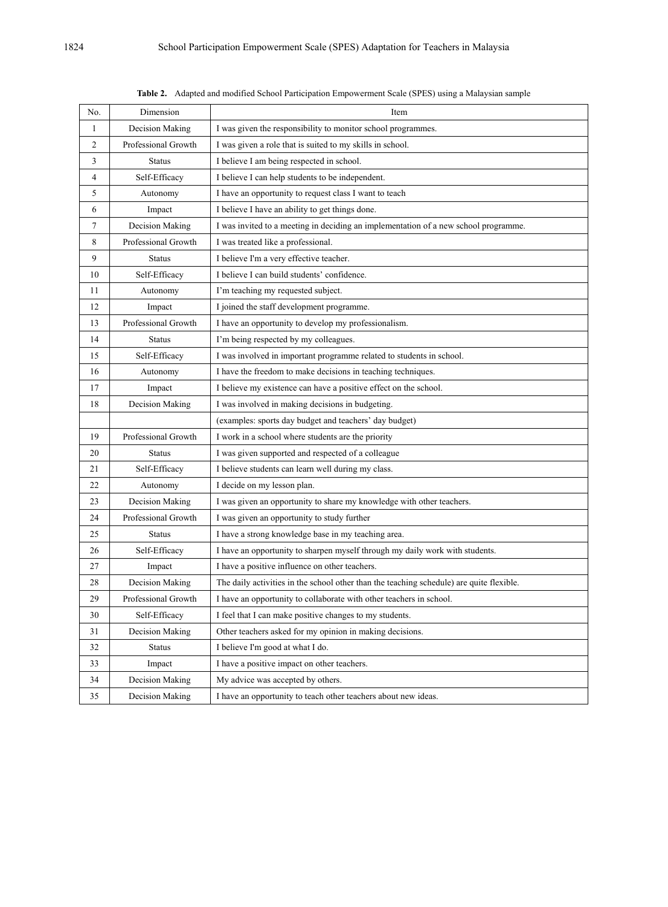| No.            | Dimension           | Item                                                                                     |
|----------------|---------------------|------------------------------------------------------------------------------------------|
| 1              | Decision Making     | I was given the responsibility to monitor school programmes.                             |
| $\overline{2}$ | Professional Growth | I was given a role that is suited to my skills in school.                                |
| 3              | <b>Status</b>       | I believe I am being respected in school.                                                |
| $\overline{4}$ | Self-Efficacy       | I believe I can help students to be independent.                                         |
| 5              | Autonomy            | I have an opportunity to request class I want to teach                                   |
| 6              | Impact              | I believe I have an ability to get things done.                                          |
| $\tau$         | Decision Making     | I was invited to a meeting in deciding an implementation of a new school programme.      |
| 8              | Professional Growth | I was treated like a professional.                                                       |
| 9              | <b>Status</b>       | I believe I'm a very effective teacher.                                                  |
| 10             | Self-Efficacy       | I believe I can build students' confidence.                                              |
| 11             | Autonomy            | I'm teaching my requested subject.                                                       |
| 12             | Impact              | I joined the staff development programme.                                                |
| 13             | Professional Growth | I have an opportunity to develop my professionalism.                                     |
| 14             | Status              | I'm being respected by my colleagues.                                                    |
| 15             | Self-Efficacy       | I was involved in important programme related to students in school.                     |
| 16             | Autonomy            | I have the freedom to make decisions in teaching techniques.                             |
| 17             | Impact              | I believe my existence can have a positive effect on the school.                         |
| 18             | Decision Making     | I was involved in making decisions in budgeting.                                         |
|                |                     | (examples: sports day budget and teachers' day budget)                                   |
| 19             | Professional Growth | I work in a school where students are the priority                                       |
| 20             | <b>Status</b>       | I was given supported and respected of a colleague                                       |
| 21             | Self-Efficacy       | I believe students can learn well during my class.                                       |
| 22             | Autonomy            | I decide on my lesson plan.                                                              |
| 23             | Decision Making     | I was given an opportunity to share my knowledge with other teachers.                    |
| 24             | Professional Growth | I was given an opportunity to study further                                              |
| 25             | <b>Status</b>       | I have a strong knowledge base in my teaching area.                                      |
| 26             | Self-Efficacy       | I have an opportunity to sharpen myself through my daily work with students.             |
| 27             | Impact              | I have a positive influence on other teachers.                                           |
| 28             | Decision Making     | The daily activities in the school other than the teaching schedule) are quite flexible. |
| 29             | Professional Growth | I have an opportunity to collaborate with other teachers in school.                      |
| 30             | Self-Efficacy       | I feel that I can make positive changes to my students.                                  |
| 31             | Decision Making     | Other teachers asked for my opinion in making decisions.                                 |
| 32             | <b>Status</b>       | I believe I'm good at what I do.                                                         |
| 33             | Impact              | I have a positive impact on other teachers.                                              |
| 34             | Decision Making     | My advice was accepted by others.                                                        |
| 35             | Decision Making     | I have an opportunity to teach other teachers about new ideas.                           |

**Table 2.** Adapted and modified School Participation Empowerment Scale (SPES) using a Malaysian sample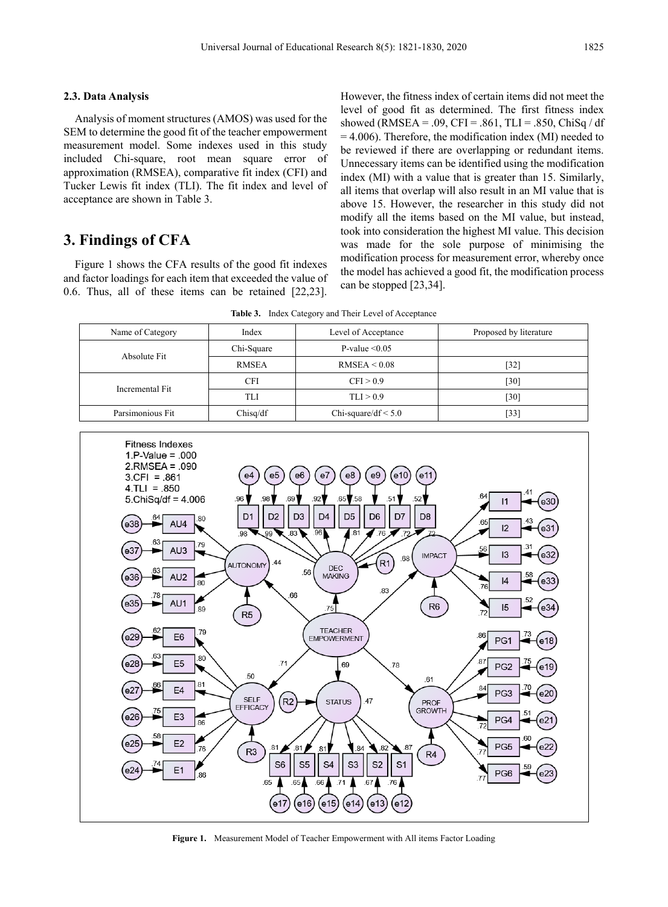#### **2.3. Data Analysis**

Analysis of moment structures (AMOS) was used for the SEM to determine the good fit of the teacher empowerment measurement model. Some indexes used in this study included Chi-square, root mean square error of approximation (RMSEA), comparative fit index (CFI) and Tucker Lewis fit index (TLI). The fit index and level of acceptance are shown in Table 3.

# **3. Findings of CFA**

Figure 1 shows the CFA results of the good fit indexes and factor loadings for each item that exceeded the value of 0.6. Thus, all of these items can be retained [22,23].

However, the fitness index of certain items did not meet the level of good fit as determined. The first fitness index showed (RMSEA = .09, CFI = .861, TLI = .850, ChiSq / df = 4.006). Therefore, the modification index (MI) needed to be reviewed if there are overlapping or redundant items. Unnecessary items can be identified using the modification index (MI) with a value that is greater than 15. Similarly, all items that overlap will also result in an MI value that is above 15. However, the researcher in this study did not modify all the items based on the MI value, but instead, took into consideration the highest MI value. This decision was made for the sole purpose of minimising the modification process for measurement error, whereby once the model has achieved a good fit, the modification process can be stopped [23,34].

**Table 3.** Index Category and Their Level of Acceptance

| Name of Category             | Index        | Level of Acceptance      | Proposed by literature |  |
|------------------------------|--------------|--------------------------|------------------------|--|
| Absolute Fit                 | Chi-Square   | P-value $\leq 0.05$      |                        |  |
|                              | <b>RMSEA</b> | RMSEA < 0.08             | $[32]$                 |  |
| Incremental Fit              | CFI          | CFI > 0.9                | [30]                   |  |
|                              | TLI          | TLI > 0.9                | [30]                   |  |
| Parsimonious Fit<br>Chisq/df |              | Chi-square/df $\leq 5.0$ | [33]                   |  |



**Figure 1.** Measurement Model of Teacher Empowerment with All items Factor Loading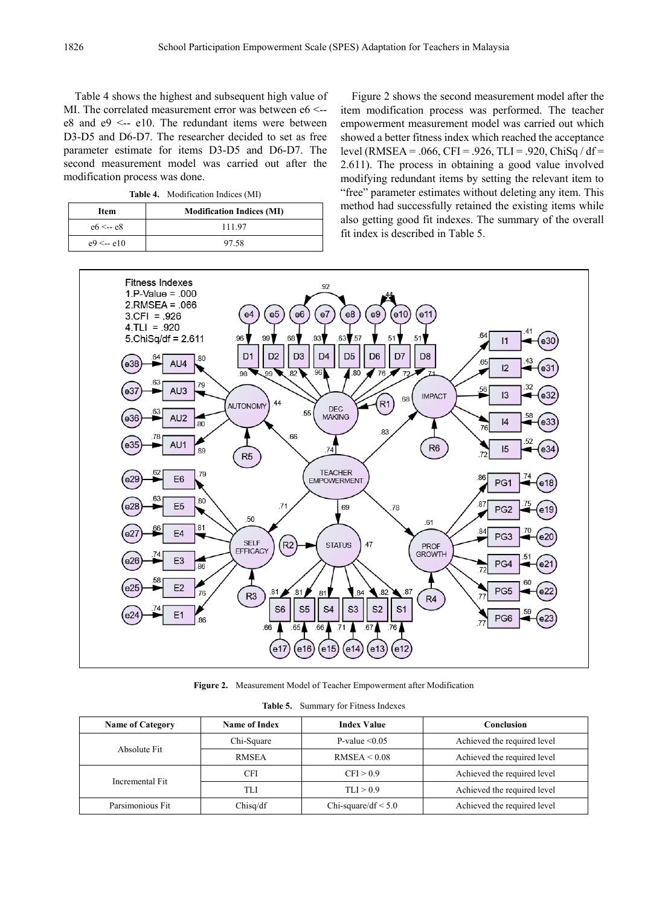Table 4 shows the highest and subsequent high value of MI. The correlated measurement error was between e6 <-e8 and  $e9 \le -e10$ . The redundant items were between D3-D5 and D6-D7. The researcher decided to set as free parameter estimate for items D3-D5 and D6-D7. The second measurement model was carried out after the modification process was done.

**Table 4.** Modification Indices (MI)

| Item                                 | <b>Modification Indices (MI)</b> |  |  |
|--------------------------------------|----------------------------------|--|--|
| $e6 \leq -e8$                        | 111.97                           |  |  |
| $e^{\frac{1}{2}} < -e^{\frac{1}{2}}$ | 97.58                            |  |  |

Figure 2 shows the second measurement model after the item modification process was performed. The teacher empowerment measurement model was carried out which showed a better fitness index which reached the acceptance level (RMSEA = .066, CFI = .926, TLI = .920, ChiSq / df = 2.611). The process in obtaining a good value involved modifying redundant items by setting the relevant item to "free" parameter estimates without deleting any item. This method had successfully retained the existing items while also getting good fit indexes. The summary of the overall fit index is described in Table 5.



**Figure 2.** Measurement Model of Teacher Empowerment after Modification

|  |  | <b>Table 5.</b> Summary for Fitness Indexes |  |
|--|--|---------------------------------------------|--|
|--|--|---------------------------------------------|--|

| <b>Name of Category</b> | Name of Index | <b>Index Value</b>                                      | Conclusion                  |  |
|-------------------------|---------------|---------------------------------------------------------|-----------------------------|--|
| Absolute Fit            | Chi-Square    | P-value $\leq 0.05$                                     | Achieved the required level |  |
|                         | <b>RMSEA</b>  | Achieved the required level<br>RMSEA < 0.08             |                             |  |
| Incremental Fit         | CFI           | CFI > 0.9                                               | Achieved the required level |  |
|                         | TLI           | TLI > 0.9                                               | Achieved the required level |  |
| Parsimonious Fit        | Chisq/df      | Achieved the required level<br>Chi-square/df $\leq 5.0$ |                             |  |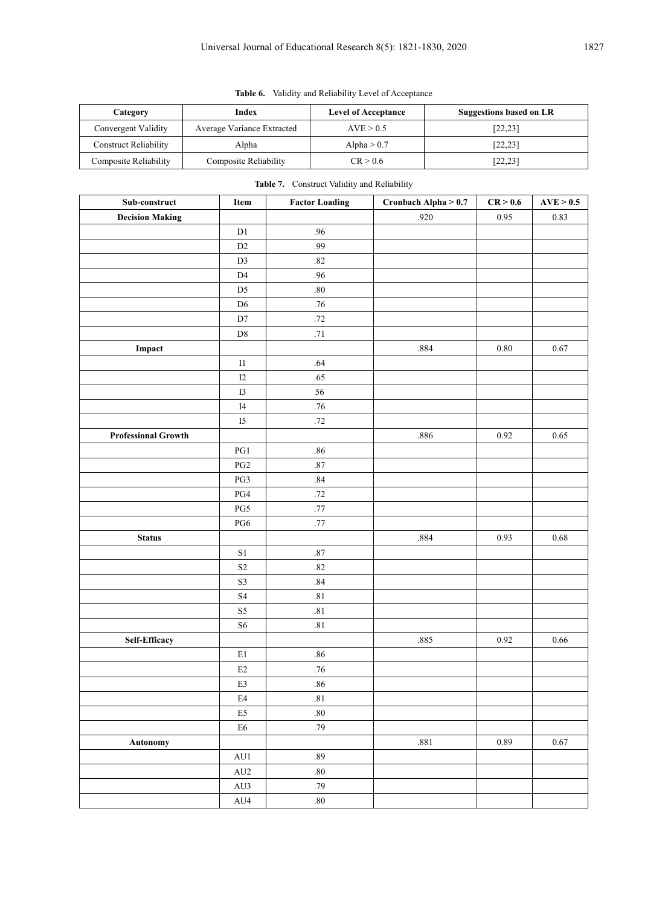| Category                     | Index                      | <b>Level of Acceptance</b> | Suggestions based on LR |
|------------------------------|----------------------------|----------------------------|-------------------------|
| Convergent Validity          | Average Variance Extracted | AVE > 0.5                  | [22, 23]                |
| <b>Construct Reliability</b> | Alpha                      | Alpha $> 0.7$              | [22, 23]                |
| Composite Reliability        | Composite Reliability      | CR > 0.6                   | [22, 23]                |

**Table 7.** Construct Validity and Reliability

 $\sqrt{ }$ 

**Table 6.** Validity and Reliability Level of Acceptance

| ${\bf Sub\text{-}construct}$ | Item           | <b>Factor Loading</b> | Cronbach Alpha > 0.7 | CR > 0.6 | AVE > 0.5 |
|------------------------------|----------------|-----------------------|----------------------|----------|-----------|
| <b>Decision Making</b>       |                |                       | .920                 | 0.95     | 0.83      |
|                              | D1             | .96                   |                      |          |           |
|                              | D2             | .99                   |                      |          |           |
|                              | D <sub>3</sub> | $.82\,$               |                      |          |           |
|                              | $\mathbf{D4}$  | .96                   |                      |          |           |
|                              | D <sub>5</sub> | $.80\,$               |                      |          |           |
|                              | $\mathbf{D6}$  | $.76$                 |                      |          |           |
|                              | D7             | $.72\,$               |                      |          |           |
|                              | $\mathbf{D}8$  | $.71\,$               |                      |          |           |
| Impact                       |                |                       | .884                 | $0.80\,$ | 0.67      |
|                              | $\;$ I1        | $.64$                 |                      |          |           |
|                              | I2             | .65                   |                      |          |           |
|                              | I3             | 56                    |                      |          |           |
|                              | I4             | $.76\,$               |                      |          |           |
|                              | I <sub>5</sub> | $.72\,$               |                      |          |           |
| <b>Professional Growth</b>   |                |                       | $.886\,$             | 0.92     | $0.65\,$  |
|                              | $PG1$          | $.86\,$               |                      |          |           |
|                              | $\mathbf{PG2}$ | $.87\,$               |                      |          |           |
|                              | PG3            | $.84\,$               |                      |          |           |
|                              | $\rm PG4$      | $.72\,$               |                      |          |           |
|                              | PG5            | $.77\,$               |                      |          |           |
|                              | $PG6$          | .77                   |                      |          |           |
| <b>Status</b>                |                |                       | .884                 | 0.93     | 0.68      |
|                              | $\mathbf{S}1$  | $.87\,$               |                      |          |           |
|                              | S <sub>2</sub> | .82                   |                      |          |           |
|                              | S3             | $.84\,$               |                      |          |           |
|                              | <b>S4</b>      | $.81\,$               |                      |          |           |
|                              | S <sub>5</sub> | $.81\,$               |                      |          |           |
|                              | S <sub>6</sub> | $.81\,$               |                      |          |           |
| Self-Efficacy                |                |                       | .885                 | 0.92     | 0.66      |
|                              | $\rm E1$       | $.86\,$               |                      |          |           |
|                              | E2             | $.76$                 |                      |          |           |
|                              | E3             | $.86\,$               |                      |          |           |
|                              | $\rm E4$       | .81                   |                      |          |           |
|                              | E5             | $.80\,$               |                      |          |           |
|                              | E <sub>6</sub> | .79                   |                      |          |           |
| Autonomy                     |                |                       | $.881\,$             | 0.89     | 0.67      |
|                              | AU1            | $.89\,$               |                      |          |           |
|                              | $\mathrm{AU}2$ | $\boldsymbol{.80}$    |                      |          |           |
|                              | AU3            | .79                   |                      |          |           |
|                              | $\rm AU4$      | $.80\,$               |                      |          |           |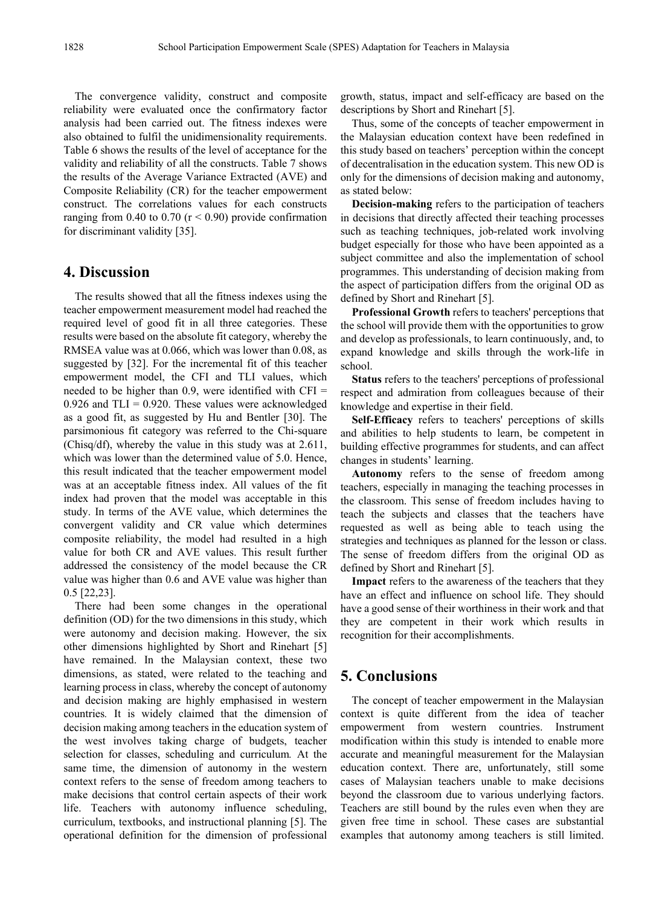The convergence validity, construct and composite reliability were evaluated once the confirmatory factor analysis had been carried out. The fitness indexes were also obtained to fulfil the unidimensionality requirements. Table 6 shows the results of the level of acceptance for the validity and reliability of all the constructs. Table 7 shows the results of the Average Variance Extracted (AVE) and Composite Reliability (CR) for the teacher empowerment construct. The correlations values for each constructs ranging from 0.40 to 0.70 ( $r < 0.90$ ) provide confirmation for discriminant validity [35].

#### **4. Discussion**

The results showed that all the fitness indexes using the teacher empowerment measurement model had reached the required level of good fit in all three categories. These results were based on the absolute fit category, whereby the RMSEA value was at 0.066, which was lower than 0.08, as suggested by [32]. For the incremental fit of this teacher empowerment model, the CFI and TLI values, which needed to be higher than  $0.9$ , were identified with CFI = 0.926 and  $TLI = 0.920$ . These values were acknowledged as a good fit, as suggested by Hu and Bentler [30]. The parsimonious fit category was referred to the Chi-square (Chisq/df), whereby the value in this study was at 2.611, which was lower than the determined value of 5.0. Hence, this result indicated that the teacher empowerment model was at an acceptable fitness index. All values of the fit index had proven that the model was acceptable in this study. In terms of the AVE value, which determines the convergent validity and CR value which determines composite reliability, the model had resulted in a high value for both CR and AVE values. This result further addressed the consistency of the model because the CR value was higher than 0.6 and AVE value was higher than 0.5 [22,23].

There had been some changes in the operational definition (OD) for the two dimensions in this study, which were autonomy and decision making. However, the six other dimensions highlighted by Short and Rinehart [5] have remained. In the Malaysian context, these two dimensions, as stated, were related to the teaching and learning process in class, whereby the concept of autonomy and decision making are highly emphasised in western countries*.* It is widely claimed that the dimension of decision making among teachers in the education system of the west involves taking charge of budgets, teacher selection for classes, scheduling and curriculum*.* At the same time, the dimension of autonomy in the western context refers to the sense of freedom among teachers to make decisions that control certain aspects of their work life. Teachers with autonomy influence scheduling, curriculum, textbooks, and instructional planning [5]. The operational definition for the dimension of professional

growth, status, impact and self-efficacy are based on the descriptions by Short and Rinehart [5].

Thus, some of the concepts of teacher empowerment in the Malaysian education context have been redefined in this study based on teachers' perception within the concept of decentralisation in the education system. This new OD is only for the dimensions of decision making and autonomy, as stated below:

**Decision-making** refers to the participation of teachers in decisions that directly affected their teaching processes such as teaching techniques, job-related work involving budget especially for those who have been appointed as a subject committee and also the implementation of school programmes. This understanding of decision making from the aspect of participation differs from the original OD as defined by Short and Rinehart [5].

**Professional Growth** refers to teachers' perceptions that the school will provide them with the opportunities to grow and develop as professionals, to learn continuously, and, to expand knowledge and skills through the work-life in school.

**Status** refers to the teachers' perceptions of professional respect and admiration from colleagues because of their knowledge and expertise in their field.

**Self-Efficacy** refers to teachers' perceptions of skills and abilities to help students to learn, be competent in building effective programmes for students, and can affect changes in students' learning.

**Autonomy** refers to the sense of freedom among teachers, especially in managing the teaching processes in the classroom. This sense of freedom includes having to teach the subjects and classes that the teachers have requested as well as being able to teach using the strategies and techniques as planned for the lesson or class. The sense of freedom differs from the original OD as defined by Short and Rinehart [5].

**Impact** refers to the awareness of the teachers that they have an effect and influence on school life. They should have a good sense of their worthiness in their work and that they are competent in their work which results in recognition for their accomplishments.

## **5. Conclusions**

The concept of teacher empowerment in the Malaysian context is quite different from the idea of teacher empowerment from western countries. Instrument modification within this study is intended to enable more accurate and meaningful measurement for the Malaysian education context. There are, unfortunately, still some cases of Malaysian teachers unable to make decisions beyond the classroom due to various underlying factors. Teachers are still bound by the rules even when they are given free time in school. These cases are substantial examples that autonomy among teachers is still limited.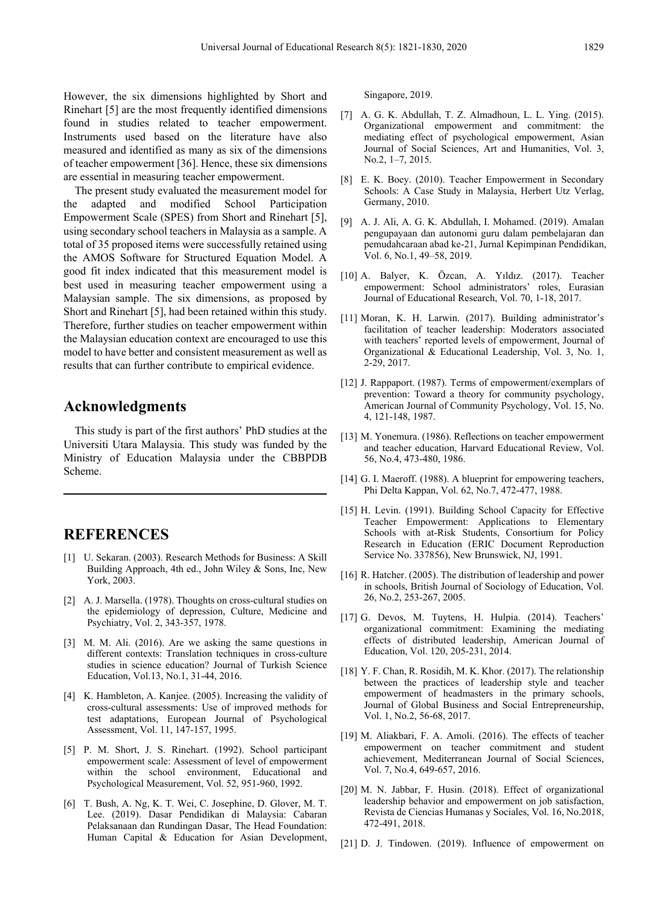However, the six dimensions highlighted by Short and Rinehart [5] are the most frequently identified dimensions found in studies related to teacher empowerment. Instruments used based on the literature have also measured and identified as many as six of the dimensions of teacher empowerment [36]. Hence, these six dimensions are essential in measuring teacher empowerment.

The present study evaluated the measurement model for the adapted and modified School Participation Empowerment Scale (SPES) from Short and Rinehart [5], using secondary school teachers in Malaysia as a sample. A total of 35 proposed items were successfully retained using the AMOS Software for Structured Equation Model. A good fit index indicated that this measurement model is best used in measuring teacher empowerment using a Malaysian sample. The six dimensions, as proposed by Short and Rinehart [5], had been retained within this study. Therefore, further studies on teacher empowerment within the Malaysian education context are encouraged to use this model to have better and consistent measurement as well as results that can further contribute to empirical evidence.

#### **Acknowledgments**

This study is part of the first authors' PhD studies at the Universiti Utara Malaysia. This study was funded by the Ministry of Education Malaysia under the CBBPDB Scheme.

# **REFERENCES**

- [1] U. Sekaran. (2003). Research Methods for Business: A Skill Building Approach, 4th ed., John Wiley & Sons, Inc, New York, 2003.
- [2] A. J. Marsella. (1978). Thoughts on cross-cultural studies on the epidemiology of depression, Culture, Medicine and Psychiatry, Vol. 2, 343-357, 1978.
- [3] M. M. Ali. (2016). Are we asking the same questions in different contexts: Translation techniques in cross-culture studies in science education? Journal of Turkish Science Education, Vol.13, No.1, 31-44, 2016.
- [4] K. Hambleton, A. Kanjee. (2005). Increasing the validity of cross-cultural assessments: Use of improved methods for test adaptations, European Journal of Psychological Assessment, Vol. 11, 147-157, 1995.
- [5] P. M. Short, J. S. Rinehart. (1992). School participant empowerment scale: Assessment of level of empowerment within the school environment, Educational and Psychological Measurement, Vol. 52, 951-960, 1992.
- [6] T. Bush, A. Ng, K. T. Wei, C. Josephine, D. Glover, M. T. Lee. (2019). Dasar Pendidikan di Malaysia: Cabaran Pelaksanaan dan Rundingan Dasar, The Head Foundation: Human Capital & Education for Asian Development,

Singapore, 2019.

- [7] A. G. K. Abdullah, T. Z. Almadhoun, L. L. Ying. (2015). Organizational empowerment and commitment: the mediating effect of psychological empowerment, Asian Journal of Social Sciences, Art and Humanities, Vol. 3, No.2, 1–7, 2015.
- [8] E. K. Boey. (2010). Teacher Empowerment in Secondary Schools: A Case Study in Malaysia, Herbert Utz Verlag, Germany, 2010.
- [9] A. J. Ali, A. G. K. Abdullah, I. Mohamed. (2019). Amalan pengupayaan dan autonomi guru dalam pembelajaran dan pemudahcaraan abad ke-21, Jurnal Kepimpinan Pendidikan, Vol. 6, No.1, 49–58, 2019.
- [10] A. Balyer, K. Özcan, A. Yıldız. (2017). Teacher empowerment: School administrators' roles, Eurasian Journal of Educational Research, Vol. 70, 1-18, 2017.
- [11] Moran, K. H. Larwin. (2017). Building administrator's facilitation of teacher leadership: Moderators associated with teachers' reported levels of empowerment, Journal of Organizational & Educational Leadership, Vol. 3, No. 1, 2-29, 2017.
- [12] J. Rappaport. (1987). Terms of empowerment/exemplars of prevention: Toward a theory for community psychology, American Journal of Community Psychology, Vol. 15, No. 4, 121-148, 1987.
- [13] M. Yonemura. (1986). Reflections on teacher empowerment and teacher education, Harvard Educational Review, Vol. 56, No.4, 473-480, 1986.
- [14] G. I. Maeroff. (1988). A blueprint for empowering teachers, Phi Delta Kappan, Vol. 62, No.7, 472-477, 1988.
- [15] H. Levin. (1991). Building School Capacity for Effective Teacher Empowerment: Applications to Elementary Schools with at-Risk Students, Consortium for Policy Research in Education (ERIC Document Reproduction Service No. 337856), New Brunswick, NJ, 1991.
- [16] R. Hatcher. (2005). The distribution of leadership and power in schools, British Journal of Sociology of Education, Vol. 26, No.2, 253-267, 2005.
- [17] G. Devos, M. Tuytens, H. Hulpia. (2014). Teachers' organizational commitment: Examining the mediating effects of distributed leadership, American Journal of Education, Vol. 120, 205-231, 2014.
- [18] Y. F. Chan, R. Rosidih, M. K. Khor. (2017). The relationship between the practices of leadership style and teacher empowerment of headmasters in the primary schools, Journal of Global Business and Social Entrepreneurship, Vol. 1, No.2, 56-68, 2017.
- [19] M. Aliakbari, F. A. Amoli. (2016). The effects of teacher empowerment on teacher commitment and student achievement, Mediterranean Journal of Social Sciences, Vol. 7, No.4, 649-657, 2016.
- [20] M. N. Jabbar, F. Husin. (2018). Effect of organizational leadership behavior and empowerment on job satisfaction, Revista de Ciencias Humanas y Sociales, Vol. 16, No.2018, 472-491, 2018.
- [21] D. J. Tindowen. (2019). Influence of empowerment on